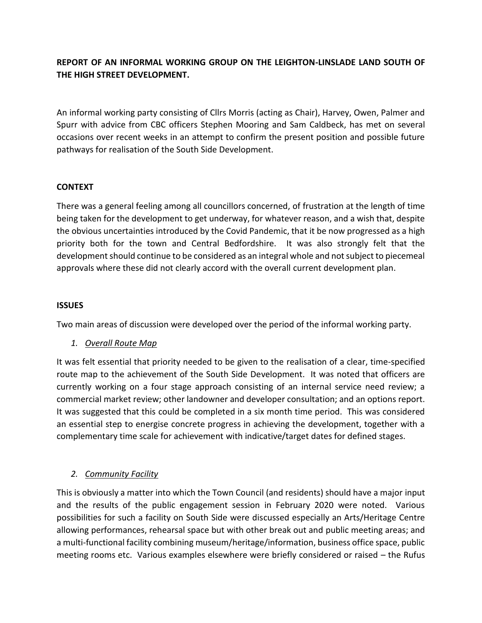# **REPORT OF AN INFORMAL WORKING GROUP ON THE LEIGHTON-LINSLADE LAND SOUTH OF THE HIGH STREET DEVELOPMENT.**

An informal working party consisting of Cllrs Morris (acting as Chair), Harvey, Owen, Palmer and Spurr with advice from CBC officers Stephen Mooring and Sam Caldbeck, has met on several occasions over recent weeks in an attempt to confirm the present position and possible future pathways for realisation of the South Side Development.

### **CONTEXT**

There was a general feeling among all councillors concerned, of frustration at the length of time being taken for the development to get underway, for whatever reason, and a wish that, despite the obvious uncertainties introduced by the Covid Pandemic, that it be now progressed as a high priority both for the town and Central Bedfordshire. It was also strongly felt that the development should continue to be considered as an integral whole and not subject to piecemeal approvals where these did not clearly accord with the overall current development plan.

### **ISSUES**

Two main areas of discussion were developed over the period of the informal working party.

*1. Overall Route Map*

It was felt essential that priority needed to be given to the realisation of a clear, time-specified route map to the achievement of the South Side Development. It was noted that officers are currently working on a four stage approach consisting of an internal service need review; a commercial market review; other landowner and developer consultation; and an options report. It was suggested that this could be completed in a six month time period. This was considered an essential step to energise concrete progress in achieving the development, together with a complementary time scale for achievement with indicative/target dates for defined stages.

## *2. Community Facility*

This is obviously a matter into which the Town Council (and residents) should have a major input and the results of the public engagement session in February 2020 were noted. Various possibilities for such a facility on South Side were discussed especially an Arts/Heritage Centre allowing performances, rehearsal space but with other break out and public meeting areas; and a multi-functional facility combining museum/heritage/information, business office space, public meeting rooms etc. Various examples elsewhere were briefly considered or raised – the Rufus